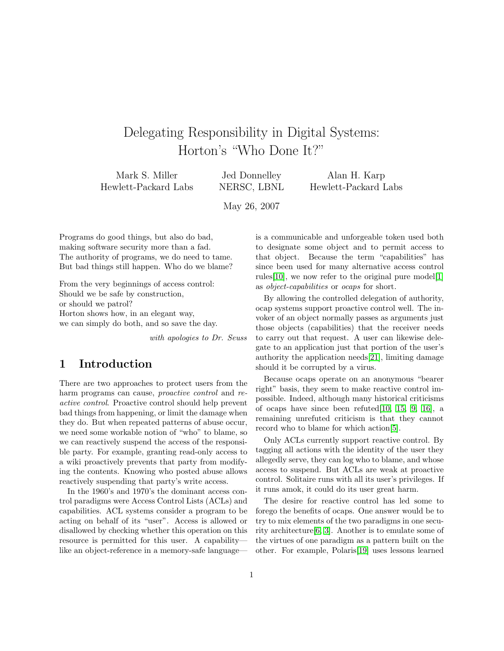# Delegating Responsibility in Digital Systems: Horton's "Who Done It?"

Mark S. Miller Hewlett-Packard Labs

Jed Donnelley NERSC, LBNL

Alan H. Karp Hewlett-Packard Labs

May 26, 2007

Programs do good things, but also do bad, making software security more than a fad. The authority of programs, we do need to tame. But bad things still happen. Who do we blame?

From the very beginnings of access control: Should we be safe by construction, or should we patrol? Horton shows how, in an elegant way, we can simply do both, and so save the day.

with apologies to Dr. Seuss

#### 1 Introduction

There are two approaches to protect users from the harm programs can cause, *proactive control* and reactive control. Proactive control should help prevent bad things from happening, or limit the damage when they do. But when repeated patterns of abuse occur, we need some workable notion of "who" to blame, so we can reactively suspend the access of the responsible party. For example, granting read-only access to a wiki proactively prevents that party from modifying the contents. Knowing who posted abuse allows reactively suspending that party's write access.

In the 1960's and 1970's the dominant access control paradigms were Access Control Lists (ACLs) and capabilities. ACL systems consider a program to be acting on behalf of its "user". Access is allowed or disallowed by checking whether this operation on this resource is permitted for this user. A capability like an object-reference in a memory-safe languageis a communicable and unforgeable token used both to designate some object and to permit access to that object. Because the term "capabilities" has since been used for many alternative access control rules[\[10\]](#page-4-0), we now refer to the original pure model[\[1\]](#page-4-1) as object-capabilities or ocaps for short.

By allowing the controlled delegation of authority, ocap systems support proactive control well. The invoker of an object normally passes as arguments just those objects (capabilities) that the receiver needs to carry out that request. A user can likewise delegate to an application just that portion of the user's authority the application needs[\[21\]](#page-4-2), limiting damage should it be corrupted by a virus.

Because ocaps operate on an anonymous "bearer right" basis, they seem to make reactive control impossible. Indeed, although many historical criticisms of ocaps have since been refuted[\[10,](#page-4-0) [15,](#page-4-3) [9,](#page-4-4) [16\]](#page-4-5), a remaining unrefuted criticism is that they cannot record who to blame for which action[\[5\]](#page-4-6).

Only ACLs currently support reactive control. By tagging all actions with the identity of the user they allegedly serve, they can log who to blame, and whose access to suspend. But ACLs are weak at proactive control. Solitaire runs with all its user's privileges. If it runs amok, it could do its user great harm.

The desire for reactive control has led some to forego the benefits of ocaps. One answer would be to try to mix elements of the two paradigms in one security architecture[\[6,](#page-4-7) [3\]](#page-4-8). Another is to emulate some of the virtues of one paradigm as a pattern built on the other. For example, Polaris[\[19\]](#page-4-9) uses lessons learned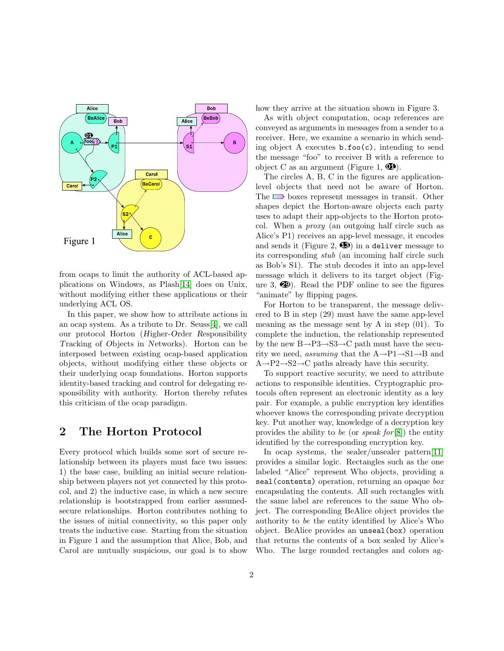

from ocaps to limit the authority of ACL-based applications on Windows, as Plash[\[14\]](#page-4-10) does on Unix, without modifying either these applications or their underlying ACL OS.

In this paper, we show how to attribute actions in an ocap system. As a tribute to Dr. Seuss[\[4\]](#page-4-11), we call our protocol Horton (Higher-Order Responsibility Tracking of Objects in Networks). Horton can be interposed between existing ocap-based application objects, without modifying either these objects or their underlying ocap foundations. Horton supports identity-based tracking and control for delegating responsibility with authority. Horton thereby refutes this criticism of the ocap paradigm.

#### 2 The Horton Protocol

Every protocol which builds some sort of secure relationship between its players must face two issues: 1) the base case, building an initial secure relationship between players not yet connected by this protocol, and 2) the inductive case, in which a new secure relationship is bootstrapped from earlier assumedsecure relationships. Horton contributes nothing to the issues of initial connectivity, so this paper only treats the inductive case. Starting from the situation in Figure 1 and the assumption that Alice, Bob, and Carol are mutually suspicious, our goal is to show

how they arrive at the situation shown in Figure 3.

As with object computation, ocap references are conveyed as arguments in messages from a sender to a receiver. Here, we examine a scenario in which sending object A executes  $\mathbf{b}.\mathbf{foo}(c)$ , intending to send the message "foo" to receiver B with a reference to object C as an argument (Figure 1,  $\mathbf{\Phi}$ ).

The circles A, B, C in the figures are applicationlevel objects that need not be aware of Horton. The  $\Box$  boxes represent messages in transit. Other shapes depict the Horton-aware objects each party uses to adapt their app-objects to the Horton protocol. When a proxy (an outgoing half circle such as Alice's P1) receives an app-level message, it encodes and sends it (Figure 2,  $\bullet$ ) in a deliver message to its corresponding stub (an incoming half circle such as Bob's S1). The stub decodes it into an app-level message which it delivers to its target object (Figure 3,  $\circled{2}$ ). Read the PDF online to see the figures "animate" by flipping pages.

For Horton to be transparent, the message delivered to B in step (29) must have the same app-level meaning as the message sent by A in step (01). To complete the induction, the relationship represented by the new  $B\rightarrow P3\rightarrow S3\rightarrow C$  path must have the security we need, assuming that the  $A \rightarrow P1 \rightarrow S1 \rightarrow B$  and  $A \rightarrow P2 \rightarrow S2 \rightarrow C$  paths already have this security.

To support reactive security, we need to attribute actions to responsible identities. Cryptographic protocols often represent an electronic identity as a key pair. For example, a public encryption key identifies whoever knows the corresponding private decryption key. Put another way, knowledge of a decryption key provides the ability to be (or speak for  $[8]$ ) the entity identified by the corresponding encryption key.

In ocap systems, the sealer/unsealer pattern[\[11\]](#page-4-13) provides a similar logic. Rectangles such as the one labeled "Alice" represent Who objects, providing a seal (contents) operation, returning an opaque box encapsulating the contents. All such rectangles with the same label are references to the same Who object. The corresponding BeAlice object provides the authority to be the entity identified by Alice's Who object. BeAlice provides an unseal(box) operation that returns the contents of a box sealed by Alice's Who. The large rounded rectangles and colors ag-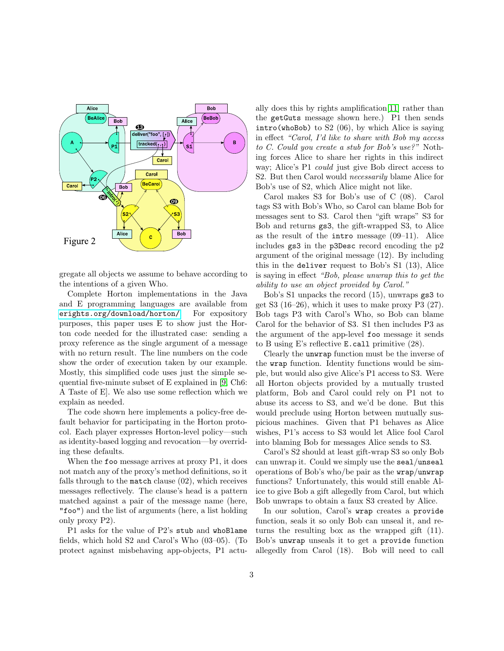

gregate all objects we assume to behave according to the intentions of a given Who.

Complete Horton implementations in the Java and E programming languages are available from [erights.org/download/horton/](http://erights.org/download/horton/). For expository purposes, this paper uses E to show just the Horton code needed for the illustrated case: sending a proxy reference as the single argument of a message with no return result. The line numbers on the code show the order of execution taken by our example. Mostly, this simplified code uses just the simple sequential five-minute subset of E explained in [\[9,](#page-4-4) Ch6: A Taste of E]. We also use some reflection which we explain as needed.

The code shown here implements a policy-free default behavior for participating in the Horton protocol. Each player expresses Horton-level policy—such as identity-based logging and revocation—by overriding these defaults.

When the foo message arrives at proxy P1, it does not match any of the proxy's method definitions, so it falls through to the match clause (02), which receives messages reflectively. The clause's head is a pattern matched against a pair of the message name (here, "foo") and the list of arguments (here, a list holding only proxy P2).

P1 asks for the value of P2's stub and whoBlame fields, which hold S2 and Carol's Who (03–05). (To protect against misbehaving app-objects, P1 actually does this by rights amplification[\[11\]](#page-4-13) rather than the getGuts message shown here.) P1 then sends intro(whoBob) to S2 (06), by which Alice is saying in effect "Carol, I'd like to share with Bob my access to C. Could you create a stub for Bob's use?" Nothing forces Alice to share her rights in this indirect way; Alice's P1 could just give Bob direct access to S2. But then Carol would *necessarily* blame Alice for Bob's use of S2, which Alice might not like.

Carol makes S3 for Bob's use of C (08). Carol tags S3 with Bob's Who, so Carol can blame Bob for messages sent to S3. Carol then "gift wraps" S3 for Bob and returns gs3, the gift-wrapped S3, to Alice as the result of the intro message (09–11). Alice includes gs3 in the p3Desc record encoding the p2 argument of the original message (12). By including this in the deliver request to Bob's S1 (13), Alice is saying in effect "Bob, please unwrap this to get the ability to use an object provided by Carol."

Bob's S1 unpacks the record (15), unwraps gs3 to get S3 (16–26), which it uses to make proxy P3 (27). Bob tags P3 with Carol's Who, so Bob can blame Carol for the behavior of S3. S1 then includes P3 as the argument of the app-level foo message it sends to B using E's reflective E.call primitive (28).

Clearly the unwrap function must be the inverse of the wrap function. Identity functions would be simple, but would also give Alice's P1 access to S3. Were all Horton objects provided by a mutually trusted platform, Bob and Carol could rely on P1 not to abuse its access to S3, and we'd be done. But this would preclude using Horton between mutually suspicious machines. Given that P1 behaves as Alice wishes, P1's access to S3 would let Alice fool Carol into blaming Bob for messages Alice sends to S3.

Carol's S2 should at least gift-wrap S3 so only Bob can unwrap it. Could we simply use the seal/unseal operations of Bob's who/be pair as the wrap/unwrap functions? Unfortunately, this would still enable Alice to give Bob a gift allegedly from Carol, but which Bob unwraps to obtain a faux S3 created by Alice.

In our solution, Carol's wrap creates a provide function, seals it so only Bob can unseal it, and returns the resulting box as the wrapped gift (11). Bob's unwrap unseals it to get a provide function allegedly from Carol (18). Bob will need to call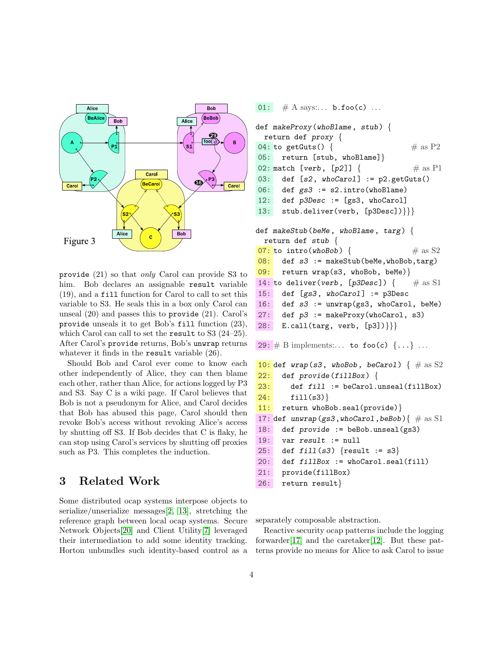

provide (21) so that only Carol can provide S3 to him. Bob declares an assignable result variable (19), and a fill function for Carol to call to set this variable to S3. He seals this in a box only Carol can unseal (20) and passes this to provide (21). Carol's provide unseals it to get Bob's fill function (23), which Carol can call to set the result to S3 (24–25). After Carol's provide returns, Bob's unwrap returns whatever it finds in the **result** variable  $(26)$ .

Should Bob and Carol ever come to know each other independently of Alice, they can then blame each other, rather than Alice, for actions logged by P3 and S3. Say C is a wiki page. If Carol believes that Bob is not a pseudonym for Alice, and Carol decides that Bob has abused this page, Carol should then revoke Bob's access without revoking Alice's access by shutting off S3. If Bob decides that C is flaky, he can stop using Carol's services by shutting off proxies such as P3. This completes the induction.

#### 3 Related Work

Some distributed ocap systems interpose objects to serialize/unserialize messages[\[2,](#page-4-14) [13\]](#page-4-15), stretching the reference graph between local ocap systems. Secure Network Objects[\[20\]](#page-4-16) and Client Utility[\[7\]](#page-4-17) leveraged their intermediation to add some identity tracking. Horton unbundles such identity-based control as a

```
01: # A says: . . . b. foot(c) ...def makeProxy(whoBlame, stub) {
 return def proxy {
04: to getGuts() { # as P205: return [stub, whoBlame]}
02: match [verb, [p2]] { \# as P1
03: def [s2, whoCarol] := p2.getGuts()
06: def gs3 := s2.intro(whoBlame)
12: def p3Desc := [gs3, whoCarol]
13: stub.deliver(verb, [p3Desc])}}}
def makeStub(beMe, whoBlame, targ) {
 return def stub {
07: to intro(whoBob) { # as S208: def s3 := makeStub(beMe,whoBob,targ)
09: return wrap(s3, whoBob, beMe)}
14: to deliver(verb, [p3Desc]) { \# as S1
15: def [gs3, whoCarol] := p3Desc
16: def s3 := unwrap(gs3, whoCarol, beMe)
27: def p3 := makeProxy(whoCarol, s3)
28: E.call(targ, verb, [p3])}}}
29: # B implements:... to foo(c) \{ \ldots \} ...
10: def wrap(s3, whoBob, beCarol) \{  # \text{ as } S222: def provide (fillBox) {
23: def fill := beCarol.unseal(fillBox)
24: fill(s3)}
11: return whoBob.seal(provide)}
17: def unwrap(gs3,whoCarol,beBob){ \# as S1
18: def provide := beBob.unseal(gs3)
19: var result := null
25: def fill(s3) {result := s3}
20: def fillBox := whoCarol.seal(fill)
21: provide(fillBox)
26: return result}
```
separately composable abstraction.

Reactive security ocap patterns include the logging forwarder $[17]$  and the caretaker $[12]$ . But these patterns provide no means for Alice to ask Carol to issue